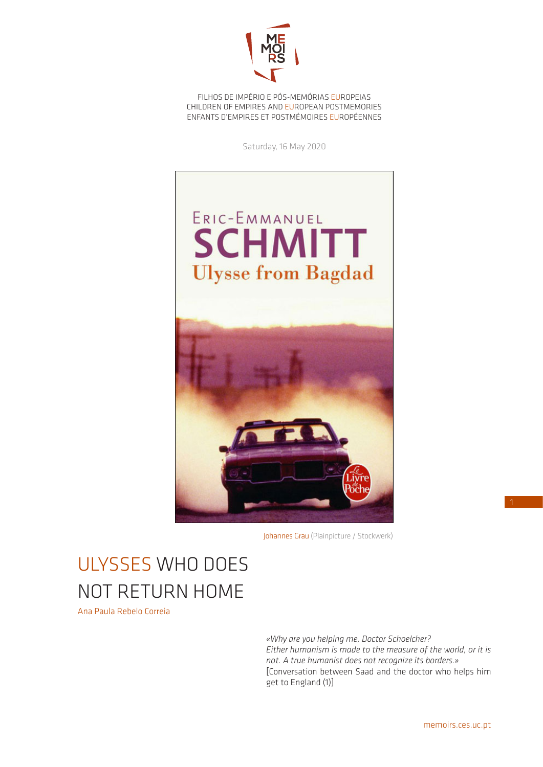

FILHOS DE IMPÉRIO E PÓS-MEMÓRIAS EUROPEIAS CHILDREN OF EMPIRES AND EUROPEAN POSTMEMORIES ENFANTS D'EMPIRES ET POSTMÉMOIRES EUROPÉENNES

Saturday, 16 May 2020



Johannes Grau (Plainpicture / Stockwerk)

## ULYSSES WHO DOES NOT RETURN HOME

Ana Paula Rebelo Correia

*«Why are you helping me, Doctor Schoelcher? Either humanism is made to the measure of the world, or it is not. A true humanist does not recognize its borders.»* [Conversation between Saad and the doctor who helps him get to England (1)]

1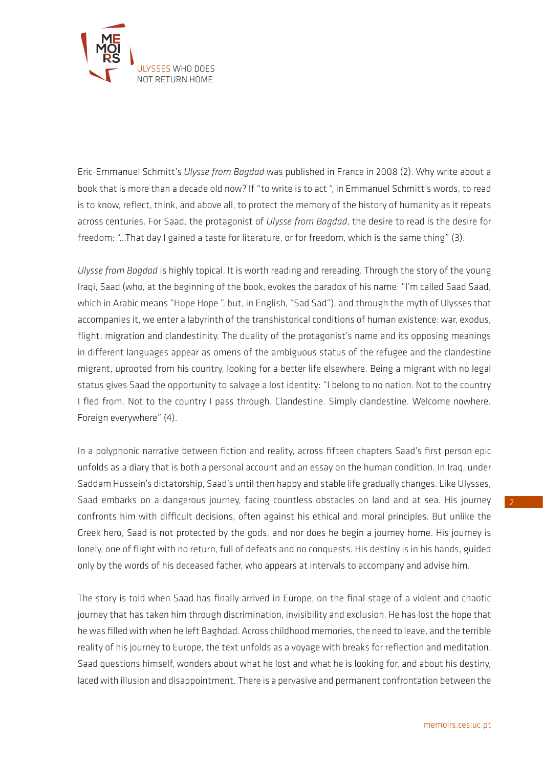

Eric-Emmanuel Schmitt's *Ulysse from Bagdad* was published in France in 2008 (2). Why write about a book that is more than a decade old now? If "to write is to act ", in Emmanuel Schmitt's words, to read is to know, reflect, think, and above all, to protect the memory of the history of humanity as it repeats across centuries. For Saad, the protagonist of *Ulysse from Bagdad*, the desire to read is the desire for freedom: "…That day I gained a taste for literature, or for freedom, which is the same thing" (3).

*Ulysse from Bagdad* is highly topical. It is worth reading and rereading. Through the story of the young Iraqi, Saad (who, at the beginning of the book, evokes the paradox of his name: "I'm called Saad Saad, which in Arabic means "Hope Hope ", but, in English, "Sad Sad"), and through the myth of Ulysses that accompanies it, we enter a labyrinth of the transhistorical conditions of human existence: war, exodus, flight, migration and clandestinity. The duality of the protagonist's name and its opposing meanings in different languages appear as omens of the ambiguous status of the refugee and the clandestine migrant, uprooted from his country, looking for a better life elsewhere. Being a migrant with no legal status gives Saad the opportunity to salvage a lost identity: "I belong to no nation. Not to the country I fled from. Not to the country I pass through. Clandestine. Simply clandestine. Welcome nowhere. Foreign everywhere" (4).

In a polyphonic narrative between fiction and reality, across fifteen chapters Saad's first person epic unfolds as a diary that is both a personal account and an essay on the human condition. In Iraq, under Saddam Hussein's dictatorship, Saad's until then happy and stable life gradually changes. Like Ulysses, Saad embarks on a dangerous journey, facing countless obstacles on land and at sea. His journey confronts him with difficult decisions, often against his ethical and moral principles. But unlike the Greek hero, Saad is not protected by the gods, and nor does he begin a journey home. His journey is lonely, one of flight with no return, full of defeats and no conquests. His destiny is in his hands, guided only by the words of his deceased father, who appears at intervals to accompany and advise him.

The story is told when Saad has finally arrived in Europe, on the final stage of a violent and chaotic journey that has taken him through discrimination, invisibility and exclusion. He has lost the hope that he was filled with when he left Baghdad. Across childhood memories, the need to leave, and the terrible reality of his journey to Europe, the text unfolds as a voyage with breaks for reflection and meditation. Saad questions himself, wonders about what he lost and what he is looking for, and about his destiny, laced with illusion and disappointment. There is a pervasive and permanent confrontation between the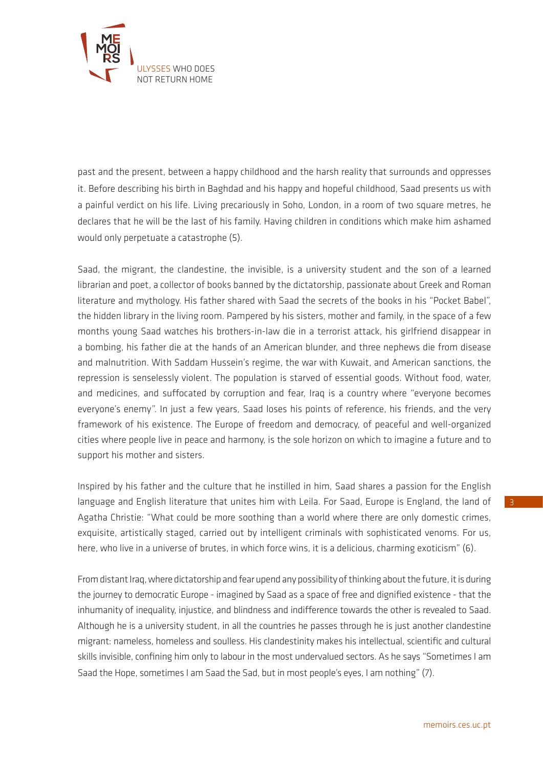

past and the present, between a happy childhood and the harsh reality that surrounds and oppresses it. Before describing his birth in Baghdad and his happy and hopeful childhood, Saad presents us with a painful verdict on his life. Living precariously in Soho, London, in a room of two square metres, he declares that he will be the last of his family. Having children in conditions which make him ashamed would only perpetuate a catastrophe (5).

Saad, the migrant, the clandestine, the invisible, is a university student and the son of a learned librarian and poet, a collector of books banned by the dictatorship, passionate about Greek and Roman literature and mythology. His father shared with Saad the secrets of the books in his "Pocket Babel", the hidden library in the living room. Pampered by his sisters, mother and family, in the space of a few months young Saad watches his brothers-in-law die in a terrorist attack, his girlfriend disappear in a bombing, his father die at the hands of an American blunder, and three nephews die from disease and malnutrition. With Saddam Hussein's regime, the war with Kuwait, and American sanctions, the repression is senselessly violent. The population is starved of essential goods. Without food, water, and medicines, and suffocated by corruption and fear, Iraq is a country where "everyone becomes everyone's enemy". In just a few years, Saad loses his points of reference, his friends, and the very framework of his existence. The Europe of freedom and democracy, of peaceful and well-organized cities where people live in peace and harmony, is the sole horizon on which to imagine a future and to support his mother and sisters.

Inspired by his father and the culture that he instilled in him, Saad shares a passion for the English language and English literature that unites him with Leila. For Saad, Europe is England, the land of Agatha Christie: "What could be more soothing than a world where there are only domestic crimes, exquisite, artistically staged, carried out by intelligent criminals with sophisticated venoms. For us, here, who live in a universe of brutes, in which force wins, it is a delicious, charming exoticism" (6).

From distant Iraq, where dictatorship and fear upend any possibility of thinking about the future, it is during the journey to democratic Europe - imagined by Saad as a space of free and dignified existence - that the inhumanity of inequality, injustice, and blindness and indifference towards the other is revealed to Saad. Although he is a university student, in all the countries he passes through he is just another clandestine migrant: nameless, homeless and soulless. His clandestinity makes his intellectual, scientific and cultural skills invisible, confining him only to labour in the most undervalued sectors. As he says "Sometimes I am Saad the Hope, sometimes I am Saad the Sad, but in most people's eyes, I am nothing" (7).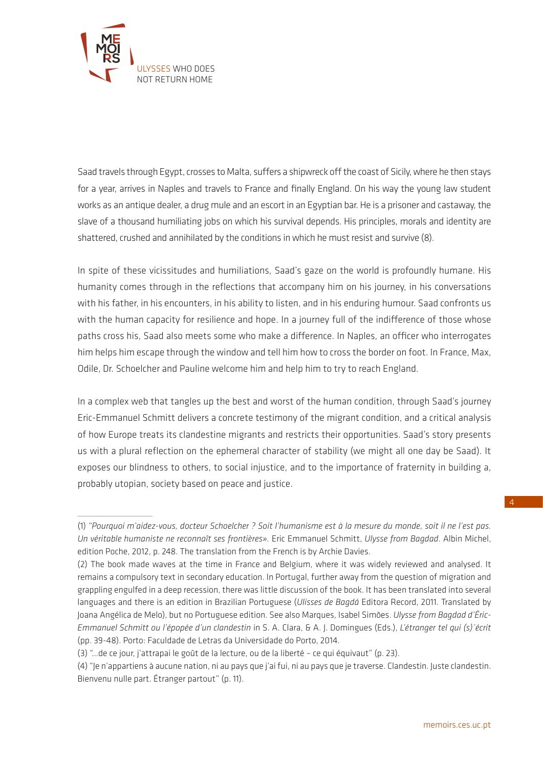

 $\overline{\phantom{a}}$  , where  $\overline{\phantom{a}}$ 

Saad travels through Egypt, crosses to Malta, suffers a shipwreck off the coast of Sicily, where he then stays for a year, arrives in Naples and travels to France and finally England. On his way the young law student works as an antique dealer, a drug mule and an escort in an Egyptian bar. He is a prisoner and castaway, the slave of a thousand humiliating jobs on which his survival depends. His principles, morals and identity are shattered, crushed and annihilated by the conditions in which he must resist and survive (8).

In spite of these vicissitudes and humiliations, Saad's gaze on the world is profoundly humane. His humanity comes through in the reflections that accompany him on his journey, in his conversations with his father, in his encounters, in his ability to listen, and in his enduring humour. Saad confronts us with the human capacity for resilience and hope. In a journey full of the indifference of those whose paths cross his, Saad also meets some who make a difference. In Naples, an officer who interrogates him helps him escape through the window and tell him how to cross the border on foot. In France, Max, Odile, Dr. Schoelcher and Pauline welcome him and help him to try to reach England.

In a complex web that tangles up the best and worst of the human condition, through Saad's journey Eric-Emmanuel Schmitt delivers a concrete testimony of the migrant condition, and a critical analysis of how Europe treats its clandestine migrants and restricts their opportunities. Saad's story presents us with a plural reflection on the ephemeral character of stability (we might all one day be Saad). It exposes our blindness to others, to social injustice, and to the importance of fraternity in building a, probably utopian, society based on peace and justice.

4

<sup>(1)</sup> *"Pourquoi m'aidez-vous, docteur Schoelcher ? Soit l'humanisme est à la mesure du monde, soit il ne l'est pas. Un véritable humaniste ne reconnaît ses frontières».* Eric Emmanuel Schmitt, *Ulysse from Bagdad*. Albin Michel, edition Poche, 2012, p. 248. The translation from the French is by Archie Davies.

<sup>(2)</sup> The book made waves at the time in France and Belgium, where it was widely reviewed and analysed. It remains a compulsory text in secondary education. In Portugal, further away from the question of migration and grappling engulfed in a deep recession, there was little discussion of the book. It has been translated into several languages and there is an edition in Brazilian Portuguese (*Ulisses de Bagdá* Editora Record, 2011. Translated by Joana Angélica de Melo), but no Portuguese edition. See also Marques, Isabel Simões. *Ulysse from Bagdad d'Éric-Emmanuel Schmitt ou l'épopée d'un clandestin* in S. A. Clara, & A. J. Domingues (Eds.), *L'étranger tel qui (s)´écrit*  (pp. 39-48). Porto: Faculdade de Letras da Universidade do Porto, 2014.

<sup>(3) &</sup>quot;…de ce jour, j'attrapai le goût de la lecture, ou de la liberté – ce qui équivaut" (p. 23).

<sup>(4) &</sup>quot;Je n'appartiens à aucune nation, ni au pays que j'ai fui, ni au pays que je traverse. Clandestin. Juste clandestin. Bienvenu nulle part. Étranger partout" (p. 11).